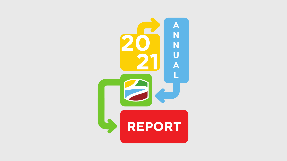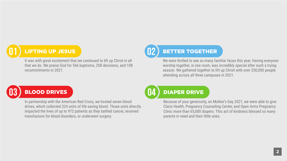



We were thrilled to see so many familiar faces this year. Having everyone worship together, in one room, was incredibly special after such a trying season. We gathered together to lift up Christ with over 250,000 people attending across all three campuses in 2021.

# BETTER TOGETHER

In partnership with the American Red Cross, we hosted seven blood drives, which collected 324 units of life-saving blood. Those units directly impacted the lives of up to 972 patients as they battled cancer, received transfusions for blood disorders, or underwent surgery.



Because of your generosity, on Mother's Day 2021, we were able to give Claris Health, Pregnancy Counseling Center, and Open Arms Pregnancy Clinic more than 65,000 diapers. This act of kindness blessed so many parents in need and their little ones.



## DIAPER DRIVE

It was with great excitement that we continued to lift up Christ in all that we do. We praise God for 566 baptisms, 258 decisions, and 108 recommitments in 2021.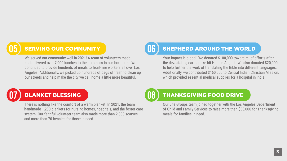

**05**

We served our community well in 2021! A team of volunteers made and delivered over 7,000 lunches to the homeless in our local area. We continued to provide hundreds of meals to front-line workers all over Los Angeles. Additionally, we picked up hundreds of bags of trash to clean up our streets and help make the city we call home a little more beautiful.

## SERVING OUR COMMUNITY

**08**

Our Life Groups team joined together with the Los Angeles Department of Child and Family Services to raise more than \$38,000 for Thanksgiving meals for families in need.



### THANKSGIVING FOOD DRIVE

**06**

Your impact is global! We donated \$100,000 toward relief efforts after the devastating earthquake hit Haiti in August. We also donated \$20,000 to help further the work of translating the Bible into different languages. Additionally, we contributed \$160,000 to Central Indian Christian Mission, which provided essential medical supplies for a hospital in India.

## SHEPHERD AROUND THE WORLD

**07**

There is nothing like the comfort of a warm blanket! In 2021, the team handmade 1,200 blankets for nursing homes, hospitals, and the foster care system. Our faithful volunteer team also made more than 2,000 scarves and more than 70 beanies for those in need.

### BLANKET BLESSING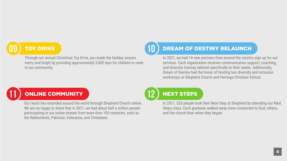

Through our annual Christmas Toy Drive, you made the holiday season merry and bright by providing approximately 3,000 toys for children in need in our community.



In 2021, 325 people took their Next Step at Shepherd by attending our Next Steps class. Each graduate walked away more connected to God, others, and the church than when they began.



**10**

In 2021, we had 14 new partners from around the country sign up for our services. Each organization receives communication support, coaching, and diversity training tailored specifically to their needs. Additionally, Dream of Destiny had the honor of hosting two diversity and inclusion workshops at Shepherd Church and Heritage Christian School.

## DREAM OF DESTINY RELAUNCH

Our reach has extended around the world through Shepherd Church online. We are so happy to share that in 2021, we had about half a million people participating in our online stream from more than 100 countries, such as the Netherlands, Pakistan, Indonesia, and Zimbabwe.

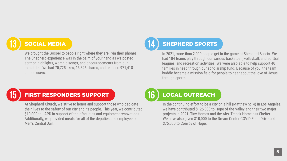

In the continuing effort to be a city on a hill (Matthew 5:14) in Los Angeles, we have contributed \$125,000 to Hope of the Valley and their two major projects in 2021: Tiny Homes and the Alex Trebek Homeless Shelter. We have also given \$10,000 to the Dream Center COVID Food Drive and \$75,000 to Convoy of Hope.



### **16** LOCAL OUTREACH

We brought the Gospel to people right where they are-via their phones! The Shepherd experience was in the palm of your hand as we posted sermon highlights, worship songs, and encouragements from our ministries. We had 70,725 likes, 13,345 shares, and reached 971,418 unique users.



At Shepherd Church, we strive to honor and support those who dedicate their lives to the safety of our city and its people. This year, we contributed \$10,000 to LAPD in support of their facilities and equipment renovations. Additionally, we provided meals for all of the deputies and employees of Men's Central Jail.

### **15** FIRST RESPONDERS SUPPORT

In 2021, more than 2,000 people get in the game at Shepherd Sports. We had 104 teams play through our various basketball, volleyball, and softball leagues, and recreation activities. We were also able to help support 40 families in need through our scholarship fund. Because of you, the team huddle became a mission field for people to hear about the love of Jesus through sports.

### **14** SHEPHERD SPORTS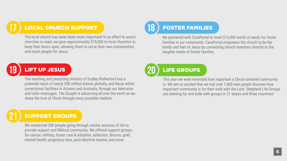



This year we were reminded how important a Christ-centered community is. We are so excited that we had over 1,800 new people discover how important community is for their walk with the Lord. Shepherd Life Groups are meeting far and wide with groups in 21 states and three countries!







The teaching and preaching ministry of Dudley Rutherford has a potential reach of nearly 300 million homes globally, and those within correctional facilities in Arizona and Australia, through our television and radio messages. The Gospel is advancing all over the earth as we share the love of Christ through every possible medium.

**17**

The local church has never been more important! In an effort to assist churches in need, we gave approximately \$75,000 to local churches to keep their doors open, allowing them to serve their own communities and reach people for Jesus.

## LOCAL CHURCH SUPPORT

We connected 200 people going through similar seasons of life to provide support and Biblical community. We offered support groups for cancer, military, foster care & adoption, addiction, divorce, grief, mental health, pregnancy loss, post-abortive trauma, and more.

### **21** SUPPORT GROUPS

We partnered with CarePortal to meet \$15,000 worth of needs for foster families in our community. CarePortal empowers the church to be the hands and feet of Jesus by connecting church members directly to the tangible needs of foster families.

### **18** FOSTER FAMILIES